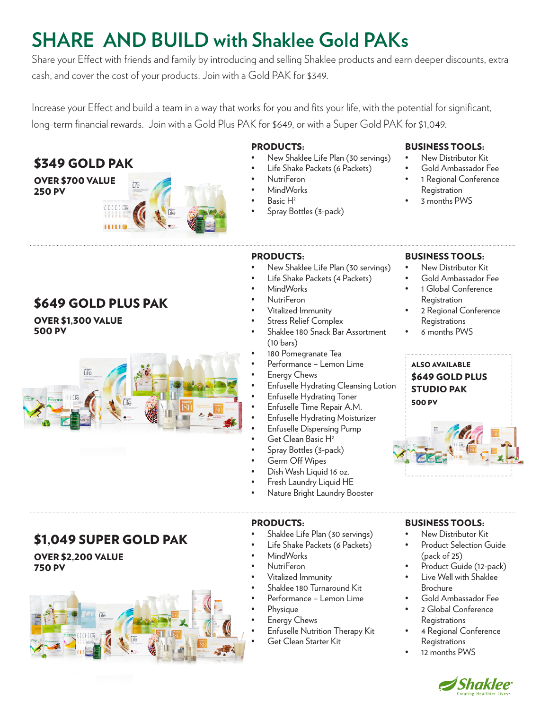# **SHARE AND BUILD with Shaklee Gold PAKs**

Share your Effect with friends and family by introducing and selling Shaklee products and earn deeper discounts, extra cash, and cover the cost of your products. Join with a Gold PAK for \$349.

Increase your Effect and build a team in a way that works for you and fits your life, with the potential for significant, long-term financial rewards. Join with a Gold Plus PAK for \$649, or with a Super Gold PAK for \$1,049.

## \$349 GOLD PAK

250 PV



#### PRODUCTS:

- New Shaklee Life Plan (30 servings)
	- Life Shake Packets (6 Packets)
- NutriFeron
- MindWorks
- Basic H2
	- Spray Bottles (3-pack)

#### BUSINESS TOOLS:

- New Distributor Kit
- Gold Ambassador Fee
- 1 Regional Conference Registration
- 3 months PWS

## \$649 GOLD PLUS PAK

OVER \$1,300 VALUE 500 PV



\$1,049 SUPER GOLD PAK

OVER \$2,200 VALUE

750 PV

# PRODUCTS:

- New Shaklee Life Plan (30 servings)
- Life Shake Packets (4 Packets)
- MindWorks
- NutriFeron
- Vitalized Immunity
- **Stress Relief Complex**
- Shaklee 180 Snack Bar Assortment (10 bars)
- 180 Pomegranate Tea
- Performance Lemon Lime
- Energy Chews
- Enfuselle Hydrating Cleansing Lotion
- Enfuselle Hydrating Toner
- Enfuselle Time Repair A.M.
- Enfuselle Hydrating Moisturizer
- Enfuselle Dispensing Pump
- Get Clean Basic H<sup>2</sup>
- Spray Bottles (3-pack)
- Germ Off Wipes
- Dish Wash Liquid 16 oz.
- Fresh Laundry Liquid HE
- Nature Bright Laundry Booster

#### PRODUCTS:

- Shaklee Life Plan (30 servings)
- Life Shake Packets (6 Packets)
	- MindWorks
- NutriFeron
- Vitalized Immunity
- Shaklee 180 Turnaround Kit
- Performance Lemon Lime
- Physique
- Energy Chews
- Enfuselle Nutrition Therapy Kit
- Get Clean Starter Kit

### BUSINESS TOOLS:

- New Distributor Kit
- Gold Ambassador Fee
- 1 Global Conference Registration
- 2 Regional Conference **Registrations**
- 6 months PWS



#### BUSINESS TOOLS:

- New Distributor Kit
- Product Selection Guide (pack of 25)
- Product Guide (12-pack)
- Live Well with Shaklee Brochure
- Gold Ambassador Fee
- 2 Global Conference Registrations
- 4 Regional Conference **Registrations**
- 12 months PWS



- -